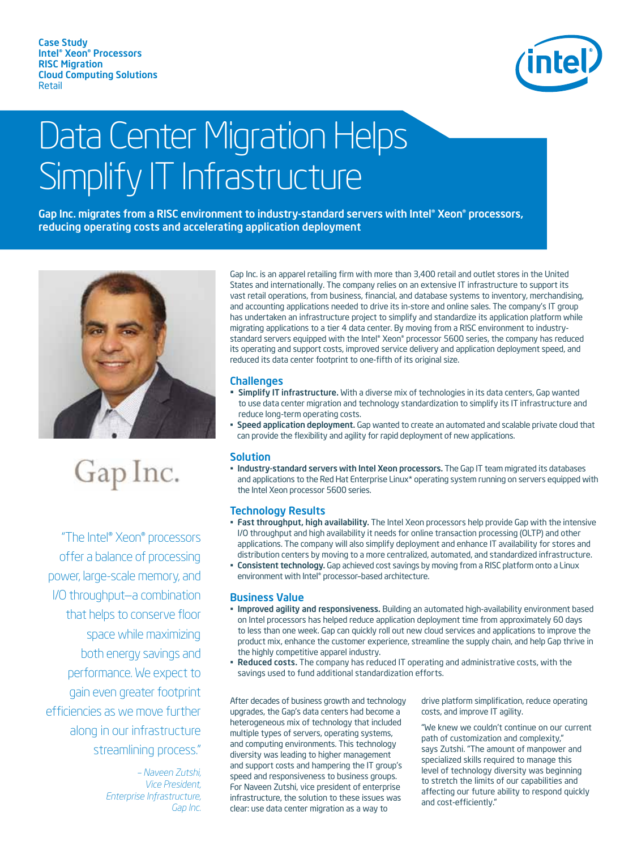Case Study Intel® Xeon® Processors RISC Migration Cloud Computing Solutions Retail



# Data Center Migration Helps Simplify IT Infrastructure

Gap Inc. migrates from a RISC environment to industry-standard servers with Intel® Xeon® processors, reducing operating costs and accelerating application deployment



## Gap Inc.

 "The Intel® Xeon® processors offer a balance of processing power, large-scale memory, and I/O throughput—a combination that helps to conserve floor space while maximizing both energy savings and performance. We expect to gain even greater footprint efficiencies as we move further along in our infrastructure streamlining process."

> *– Naveen Zutshi, Vice President, Enterprise Infrastructure, Gap Inc.*

Gap Inc. is an apparel retailing firm with more than 3,400 retail and outlet stores in the United States and internationally. The company relies on an extensive IT infrastructure to support its vast retail operations, from business, financial, and database systems to inventory, merchandising, and accounting applications needed to drive its in-store and online sales. The company's IT group has undertaken an infrastructure project to simplify and standardize its application platform while migrating applications to a tier 4 data center. By moving from a RISC environment to industrystandard servers equipped with the Intel® Xeon® processor 5600 series, the company has reduced its operating and support costs, improved service delivery and application deployment speed, and reduced its data center footprint to one-fifth of its original size.

### **Challenges**

- Simplify IT infrastructure. With a diverse mix of technologies in its data centers, Gap wanted to use data center migration and technology standardization to simplify its IT infrastructure and reduce long-term operating costs.
- Speed application deployment. Gap wanted to create an automated and scalable private cloud that can provide the flexibility and agility for rapid deployment of new applications.

### **Solution**

• Industry-standard servers with Intel Xeon processors. The Gap IT team migrated its databases and applications to the Red Hat Enterprise Linux\* operating system running on servers equipped with the Intel Xeon processor 5600 series.

### Technology Results

- Fast throughput, high availability. The Intel Xeon processors help provide Gap with the intensive I/O throughput and high availability it needs for online transaction processing (OLTP) and other applications. The company will also simplify deployment and enhance IT availability for stores and distribution centers by moving to a more centralized, automated, and standardized infrastructure.
- Consistent technology. Gap achieved cost savings by moving from a RISC platform onto a Linux environment with Intel® processor–based architecture.

### Business Value

- Improved agility and responsiveness. Building an automated high-availability environment based on Intel processors has helped reduce application deployment time from approximately 60 days to less than one week. Gap can quickly roll out new cloud services and applications to improve the product mix, enhance the customer experience, streamline the supply chain, and help Gap thrive in the highly competitive apparel industry.
- Reduced costs. The company has reduced IT operating and administrative costs, with the savings used to fund additional standardization efforts.

After decades of business growth and technology upgrades, the Gap's data centers had become a heterogeneous mix of technology that included multiple types of servers, operating systems, and computing environments. This technology diversity was leading to higher management and support costs and hampering the IT group's speed and responsiveness to business groups. For Naveen Zutshi, vice president of enterprise infrastructure, the solution to these issues was clear: use data center migration as a way to

drive platform simplification, reduce operating costs, and improve IT agility.

"We knew we couldn't continue on our current path of customization and complexity," says Zutshi. "The amount of manpower and specialized skills required to manage this level of technology diversity was beginning to stretch the limits of our capabilities and affecting our future ability to respond quickly and cost-efficiently."